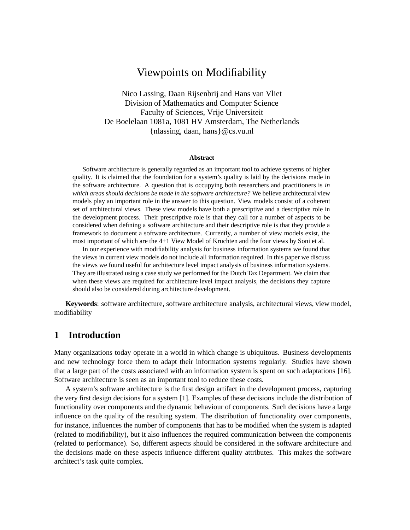# Viewpoints on Modifiability

Nico Lassing, Daan Rijsenbrij and Hans van Vliet Division of Mathematics and Computer Science Faculty of Sciences, Vrije Universiteit De Boelelaan 1081a, 1081 HV Amsterdam, The Netherlands {nlassing, daan, hans}@cs.vu.nl

#### **Abstract**

Software architecture is generally regarded as an important tool to achieve systems of higher quality. It is claimed that the foundation for a system's quality is laid by the decisions made in the software architecture. A question that is occupying both researchers and practitioners is *in which areas should decisions be made in the software architecture?* We believe architectural view models play an important role in the answer to this question. View models consist of a coherent set of architectural views. These view models have both a prescriptive and a descriptive role in the development process. Their prescriptive role is that they call for a number of aspects to be considered when defining a software architecture and their descriptive role is that they provide a framework to document a software architecture. Currently, a number of view models exist, the most important of which are the 4+1 View Model of Kruchten and the four views by Soni et al.

In our experience with modifiability analysis for business information systems we found that the views in current view models do not include all information required. In this paper we discuss the views we found useful for architecture level impact analysis of business information systems. They are illustrated using a case study we performed for the Dutch Tax Department. We claim that when these views are required for architecture level impact analysis, the decisions they capture should also be considered during architecture development.

**Keywords**: software architecture, software architecture analysis, architectural views, view model, modifiability

# **1 Introduction**

Many organizations today operate in a world in which change is ubiquitous. Business developments and new technology force them to adapt their information systems regularly. Studies have shown that a large part of the costs associated with an information system is spent on such adaptations [16]. Software architecture is seen as an important tool to reduce these costs.

A system's software architecture is the first design artifact in the development process, capturing the very first design decisions for a system [1]. Examples of these decisions include the distribution of functionality over components and the dynamic behaviour of components. Such decisions have a large influence on the quality of the resulting system. The distribution of functionality over components, for instance, influences the number of components that has to be modified when the system is adapted (related to modifiability), but it also influences the required communication between the components (related to performance). So, different aspects should be considered in the software architecture and the decisions made on these aspects influence different quality attributes. This makes the software architect's task quite complex.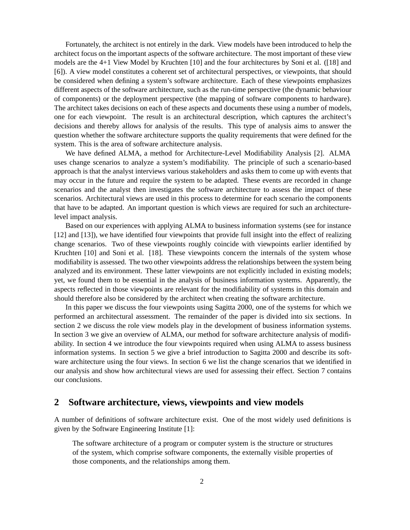Fortunately, the architect is not entirely in the dark. View models have been introduced to help the architect focus on the important aspects of the software architecture. The most important of these view models are the 4+1 View Model by Kruchten [10] and the four architectures by Soni et al. ([18] and [6]). A view model constitutes a coherent set of architectural perspectives, or viewpoints, that should be considered when defining a system's software architecture. Each of these viewpoints emphasizes different aspects of the software architecture, such as the run-time perspective (the dynamic behaviour of components) or the deployment perspective (the mapping of software components to hardware). The architect takes decisions on each of these aspects and documents these using a number of models, one for each viewpoint. The result is an architectural description, which captures the architect's decisions and thereby allows for analysis of the results. This type of analysis aims to answer the question whether the software architecture supports the quality requirements that were defined for the system. This is the area of software architecture analysis.

We have defined ALMA, a method for Architecture-Level Modifiability Analysis [2]. ALMA uses change scenarios to analyze a system's modifiability. The principle of such a scenario-based approach is that the analyst interviews various stakeholders and asks them to come up with events that may occur in the future and require the system to be adapted. These events are recorded in change scenarios and the analyst then investigates the software architecture to assess the impact of these scenarios. Architectural views are used in this process to determine for each scenario the components that have to be adapted. An important question is which views are required for such an architecturelevel impact analysis.

Based on our experiences with applying ALMA to business information systems (see for instance [12] and [13]), we have identified four viewpoints that provide full insight into the effect of realizing change scenarios. Two of these viewpoints roughly coincide with viewpoints earlier identified by Kruchten [10] and Soni et al. [18]. These viewpoints concern the internals of the system whose modifiability is assessed. The two other viewpoints address the relationships between the system being analyzed and its environment. These latter viewpoints are not explicitly included in existing models; yet, we found them to be essential in the analysis of business information systems. Apparently, the aspects reflected in those viewpoints are relevant for the modifiability of systems in this domain and should therefore also be considered by the architect when creating the software architecture.

In this paper we discuss the four viewpoints using Sagitta 2000, one of the systems for which we performed an architectural assessment. The remainder of the paper is divided into six sections. In section 2 we discuss the role view models play in the development of business information systems. In section 3 we give an overview of ALMA, our method for software architecture analysis of modifiability. In section 4 we introduce the four viewpoints required when using ALMA to assess business information systems. In section 5 we give a brief introduction to Sagitta 2000 and describe its software architecture using the four views. In section 6 we list the change scenarios that we identified in our analysis and show how architectural views are used for assessing their effect. Section 7 contains our conclusions.

# **2 Software architecture, views, viewpoints and view models**

A number of definitions of software architecture exist. One of the most widely used definitions is given by the Software Engineering Institute [1]:

The software architecture of a program or computer system is the structure or structures of the system, which comprise software components, the externally visible properties of those components, and the relationships among them.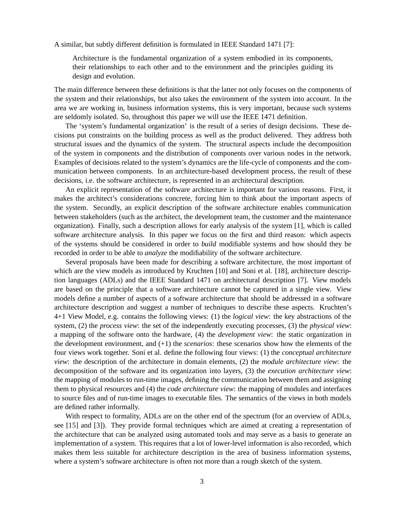A similar, but subtly different definition is formulated in IEEE Standard 1471 [7]:

Architecture is the fundamental organization of a system embodied in its components, their relationships to each other and to the environment and the principles guiding its design and evolution.

The main difference between these definitions is that the latter not only focuses on the components of the system and their relationships, but also takes the environment of the system into account. In the area we are working in, business information systems, this is very important, because such systems are seldomly isolated. So, throughout this paper we will use the IEEE 1471 definition.

The 'system's fundamental organization' is the result of a series of design decisions. These decisions put constraints on the building process as well as the product delivered. They address both structural issues and the dynamics of the system. The structural aspects include the decomposition of the system in components and the distribution of components over various nodes in the network. Examples of decisions related to the system's dynamics are the life-cycle of components and the communication between components. In an architecture-based development process, the result of these decisions, i.e. the software architecture, is represented in an architectural description.

An explicit representation of the software architecture is important for various reasons. First, it makes the architect's considerations concrete, forcing him to think about the important aspects of the system. Secondly, an explicit description of the software architecture enables communication between stakeholders (such as the architect, the development team, the customer and the maintenance organization). Finally, such a description allows for early analysis of the system [1], which is called software architecture analysis. In this paper we focus on the first and third reason: which aspects of the systems should be considered in order to *build* modifiable systems and how should they be recorded in order to be able to *analyze* the modifiability of the software architecture.

Several proposals have been made for describing a software architecture, the most important of which are the view models as introduced by Kruchten [10] and Soni et al. [18], architecture description languages (ADLs) and the IEEE Standard 1471 on architectural description [7]. View models are based on the principle that a software architecture cannot be captured in a single view. View models define a number of aspects of a software architecture that should be addressed in a software architecture description and suggest a number of techniques to describe these aspects. Kruchten's 4+1 View Model, e.g. contains the following views: (1) the *logical view*: the key abstractions of the system, (2) the *process view*: the set of the independently executing processes, (3) the *physical view*: a mapping of the software onto the hardware, (4) the *development view*: the static organization in the development environment, and (+1) the *scenarios*: these scenarios show how the elements of the four views work together. Soni et al. define the following four views: (1) the *conceptual architecture view*: the description of the architecture in domain elements, (2) the *module architecture view*: the decomposition of the software and its organization into layers, (3) the *execution architecture view*: the mapping of modules to run-time images, defining the communication between them and assigning them to physical resources and (4) the *code architecture view*: the mapping of modules and interfaces to source files and of run-time images to executable files. The semantics of the views in both models are defined rather informally.

With respect to formality, ADLs are on the other end of the spectrum (for an overview of ADLs, see [15] and [3]). They provide formal techniques which are aimed at creating a representation of the architecture that can be analyzed using automated tools and may serve as a basis to generate an implementation of a system. This requires that a lot of lower-level information is also recorded, which makes them less suitable for architecture description in the area of business information systems, where a system's software architecture is often not more than a rough sketch of the system.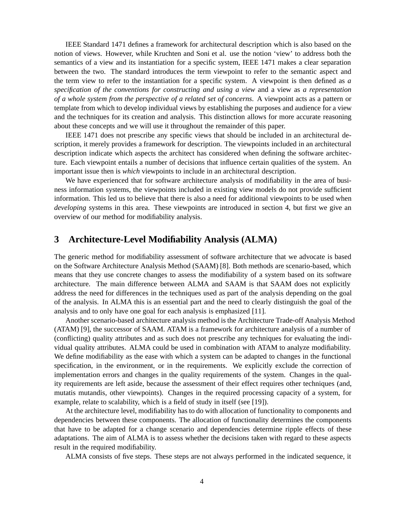IEEE Standard 1471 defines a framework for architectural description which is also based on the notion of views. However, while Kruchten and Soni et al. use the notion 'view' to address both the semantics of a view and its instantiation for a specific system, IEEE 1471 makes a clear separation between the two. The standard introduces the term viewpoint to refer to the semantic aspect and the term view to refer to the instantiation for a specific system. A viewpoint is then defined as *a specification of the conventions for constructing and using a view* and a view as *a representation of a whole system from the perspective of a related set of concerns*. A viewpoint acts as a pattern or template from which to develop individual views by establishing the purposes and audience for a view and the techniques for its creation and analysis. This distinction allows for more accurate reasoning about these concepts and we will use it throughout the remainder of this paper.

IEEE 1471 does not prescribe any specific views that should be included in an architectural description, it merely provides a framework for description. The viewpoints included in an architectural description indicate which aspects the architect has considered when defining the software architecture. Each viewpoint entails a number of decisions that influence certain qualities of the system. An important issue then is *which* viewpoints to include in an architectural description.

We have experienced that for software architecture analysis of modifiability in the area of business information systems, the viewpoints included in existing view models do not provide sufficient information. This led us to believe that there is also a need for additional viewpoints to be used when *developing* systems in this area. These viewpoints are introduced in section 4, but first we give an overview of our method for modifiability analysis.

# **3 Architecture-Level Modifiability Analysis (ALMA)**

The generic method for modifiability assessment of software architecture that we advocate is based on the Software Architecture Analysis Method (SAAM) [8]. Both methods are scenario-based, which means that they use concrete changes to assess the modifiability of a system based on its software architecture. The main difference between ALMA and SAAM is that SAAM does not explicitly address the need for differences in the techniques used as part of the analysis depending on the goal of the analysis. In ALMA this is an essential part and the need to clearly distinguish the goal of the analysis and to only have one goal for each analysis is emphasized [11].

Another scenario-based architecture analysis method is the Architecture Trade-off Analysis Method (ATAM) [9], the successor of SAAM. ATAM is a framework for architecture analysis of a number of (conflicting) quality attributes and as such does not prescribe any techniques for evaluating the individual quality attributes. ALMA could be used in combination with ATAM to analyze modifiability. We define modifiability as the ease with which a system can be adapted to changes in the functional specification, in the environment, or in the requirements. We explicitly exclude the correction of implementation errors and changes in the quality requirements of the system. Changes in the quality requirements are left aside, because the assessment of their effect requires other techniques (and, mutatis mutandis, other viewpoints). Changes in the required processing capacity of a system, for example, relate to scalability, which is a field of study in itself (see [19]).

At the architecture level, modifiability has to do with allocation of functionality to components and dependencies between these components. The allocation of functionality determines the components that have to be adapted for a change scenario and dependencies determine ripple effects of these adaptations. The aim of ALMA is to assess whether the decisions taken with regard to these aspects result in the required modifiability.

ALMA consists of five steps. These steps are not always performed in the indicated sequence, it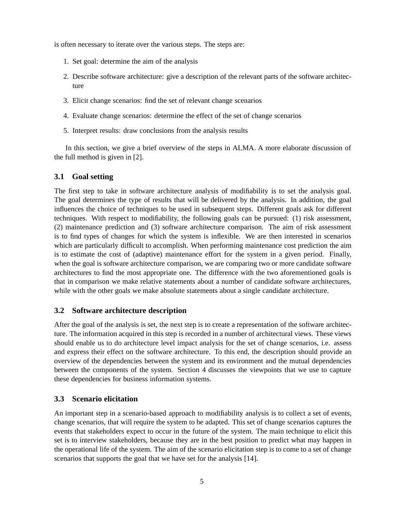is often necessary to iterate over the various steps. The steps are:

- 1. Set goal: determine the aim of the analysis
- 2. Describe software architecture: give a description of the relevant parts of the software architecture
- 3. Elicit change scenarios: find the set of relevant change scenarios
- 4. Evaluate change scenarios: determine the effect of the set of change scenarios
- 5. Interpret results: draw conclusions from the analysis results

In this section, we give a brief overview of the steps in ALMA. A more elaborate discussion of the full method is given in [2].

#### **3.1 Goal setting**

The first step to take in software architecture analysis of modifiability is to set the analysis goal. The goal determines the type of results that will be delivered by the analysis. In addition, the goal influences the choice of techniques to be used in subsequent steps. Different goals ask for different techniques. With respect to modifiability, the following goals can be pursued: (1) risk assessment, (2) maintenance prediction and (3) software architecture comparison. The aim of risk assessment is to find types of changes for which the system is inflexible. We are then interested in scenarios which are particularly difficult to accomplish. When performing maintenance cost prediction the aim is to estimate the cost of (adaptive) maintenance effort for the system in a given period. Finally, when the goal is software architecture comparison, we are comparing two or more candidate software architectures to find the most appropriate one. The difference with the two aforementioned goals is that in comparison we make relative statements about a number of candidate software architectures, while with the other goals we make absolute statements about a single candidate architecture.

#### **3.2 Software architecture description**

After the goal of the analysis is set, the next step is to create a representation of the software architecture. The information acquired in this step is recorded in a number of architectural views. These views should enable us to do architecture level impact analysis for the set of change scenarios, i.e. assess and express their effect on the software architecture. To this end, the description should provide an overview of the dependencies between the system and its environment and the mutual dependencies between the components of the system. Section 4 discusses the viewpoints that we use to capture these dependencies for business information systems.

### **3.3 Scenario elicitation**

An important step in a scenario-based approach to modifiability analysis is to collect a set of events, change scenarios, that will require the system to be adapted. This set of change scenarios captures the events that stakeholders expect to occur in the future of the system. The main technique to elicit this set is to interview stakeholders, because they are in the best position to predict what may happen in the operational life of the system. The aim of the scenario elicitation step is to come to a set of change scenarios that supports the goal that we have set for the analysis [14].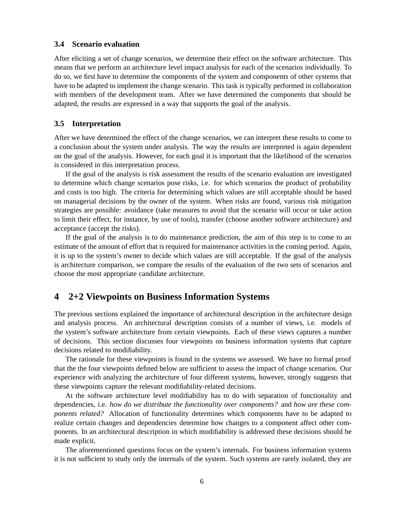### **3.4 Scenario evaluation**

After eliciting a set of change scenarios, we determine their effect on the software architecture. This means that we perform an architecture level impact analysis for each of the scenarios individually. To do so, we first have to determine the components of the system and components of other systems that have to be adapted to implement the change scenario. This task is typically performed in collaboration with members of the development team. After we have determined the components that should be adapted, the results are expressed in a way that supports the goal of the analysis.

#### **3.5 Interpretation**

After we have determined the effect of the change scenarios, we can interpret these results to come to a conclusion about the system under analysis. The way the results are interpreted is again dependent on the goal of the analysis. However, for each goal it is important that the likelihood of the scenarios is considered in this interpretation process.

If the goal of the analysis is risk assessment the results of the scenario evaluation are investigated to determine which change scenarios pose risks, i.e. for which scenarios the product of probability and costs is too high. The criteria for determining which values are still acceptable should be based on managerial decisions by the owner of the system. When risks are found, various risk mitigation strategies are possible: avoidance (take measures to avoid that the scenario will occur or take action to limit their effect, for instance, by use of tools), transfer (choose another software architecture) and acceptance (accept the risks).

If the goal of the analysis is to do maintenance prediction, the aim of this step is to come to an estimate of the amount of effort that is required for maintenance activities in the coming period. Again, it is up to the system's owner to decide which values are still acceptable. If the goal of the analysis is architecture comparison, we compare the results of the evaluation of the two sets of scenarios and choose the most appropriate candidate architecture.

# **4 2+2 Viewpoints on Business Information Systems**

The previous sections explained the importance of architectural description in the architecture design and analysis process. An architectural description consists of a number of views, i.e. models of the system's software architecture from certain viewpoints. Each of these views captures a number of decisions. This section discusses four viewpoints on business information systems that capture decisions related to modifiability.

The rationale for these viewpoints is found in the systems we assessed. We have no formal proof that the the four viewpoints defined below are sufficient to assess the impact of change scenarios. Our experience with analyzing the architecture of four different systems, however, strongly suggests that these viewpoints capture the relevant modifiability-related decisions.

At the software architecture level modifiability has to do with separation of functionality and dependencies, i.e. *how do we distribute the functionality over components?* and *how are these components related?* Allocation of functionality determines which components have to be adapted to realize certain changes and dependencies determine how changes to a component affect other components. In an architectural description in which modifiability is addressed these decisions should be made explicit.

The aforementioned questions focus on the system's internals. For business information systems it is not sufficient to study only the internals of the system. Such systems are rarely isolated, they are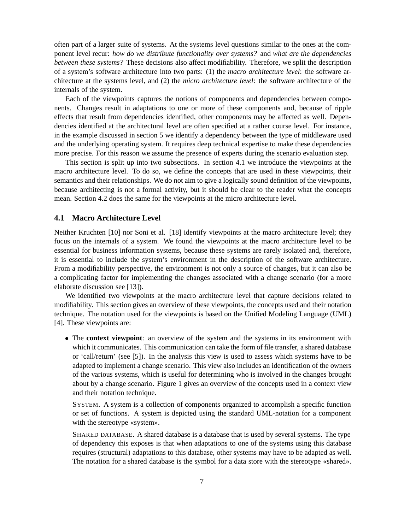often part of a larger suite of systems. At the systems level questions similar to the ones at the component level recur: *how do we distribute functionality over systems?* and *what are the dependencies between these systems?* These decisions also affect modifiability. Therefore, we split the description of a system's software architecture into two parts: (1) the *macro architecture level*: the software architecture at the systems level, and (2) the *micro architecture level*: the software architecture of the internals of the system.

Each of the viewpoints captures the notions of components and dependencies between components. Changes result in adaptations to one or more of these components and, because of ripple effects that result from dependencies identified, other components may be affected as well. Dependencies identified at the architectural level are often specified at a rather course level. For instance, in the example discussed in section 5 we identify a dependency between the type of middleware used and the underlying operating system. It requires deep technical expertise to make these dependencies more precise. For this reason we assume the presence of experts during the scenario evaluation step.

This section is split up into two subsections. In section 4.1 we introduce the viewpoints at the macro architecture level. To do so, we define the concepts that are used in these viewpoints, their semantics and their relationships. We do not aim to give a logically sound definition of the viewpoints, because architecting is not a formal activity, but it should be clear to the reader what the concepts mean. Section 4.2 does the same for the viewpoints at the micro architecture level.

#### **4.1 Macro Architecture Level**

Neither Kruchten [10] nor Soni et al. [18] identify viewpoints at the macro architecture level; they focus on the internals of a system. We found the viewpoints at the macro architecture level to be essential for business information systems, because these systems are rarely isolated and, therefore, it is essential to include the system's environment in the description of the software architecture. From a modifiability perspective, the environment is not only a source of changes, but it can also be a complicating factor for implementing the changes associated with a change scenario (for a more elaborate discussion see [13]).

We identified two viewpoints at the macro architecture level that capture decisions related to modifiability. This section gives an overview of these viewpoints, the concepts used and their notation technique. The notation used for the viewpoints is based on the Unified Modeling Language (UML) [4]. These viewpoints are:

 The **context viewpoint**: an overview of the system and the systems in its environment with which it communicates. This communication can take the form of file transfer, a shared database or 'call/return' (see [5]). In the analysis this view is used to assess which systems have to be adapted to implement a change scenario. This view also includes an identification of the owners of the various systems, which is useful for determining who is involved in the changes brought about by a change scenario. Figure 1 gives an overview of the concepts used in a context view and their notation technique.

SYSTEM. A system is a collection of components organized to accomplish a specific function or set of functions. A system is depicted using the standard UML-notation for a component with the stereotype «system».

SHARED DATABASE. A shared database is a database that is used by several systems. The type of dependency this exposes is that when adaptations to one of the systems using this database requires (structural) adaptations to this database, other systems may have to be adapted as well. The notation for a shared database is the symbol for a data store with the stereotype «shared».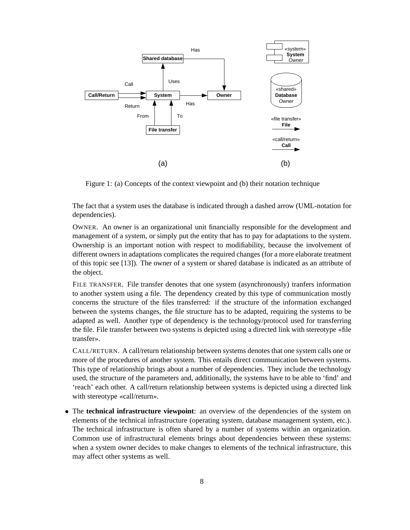

Figure 1: (a) Concepts of the context viewpoint and (b) their notation technique

The fact that a system uses the database is indicated through a dashed arrow (UML-notation for dependencies).

OWNER. An owner is an organizational unit financially responsible for the development and management of a system, or simply put the entity that has to pay for adaptations to the system. Ownership is an important notion with respect to modifiability, because the involvement of different owners in adaptations complicates the required changes (for a more elaborate treatment of this topic see [13]). The owner of a system or shared database is indicated as an attribute of the object.

FILE TRANSFER. File transfer denotes that one system (asynchronously) tranfers information to another system using a file. The dependency created by this type of communication mostly concerns the structure of the files transferred: if the structure of the information exchanged between the systems changes, the file structure has to be adapted, requiring the systems to be adapted as well. Another type of dependency is the technology/protocol used for transferring the file. File transfer between two systems is depicted using a directed link with stereotype «file transfer».

CALL/RETURN. A call/return relationship between systems denotes that one system calls one or more of the procedures of another system. This entails direct communication between systems. This type of relationship brings about a number of dependencies. They include the technology used, the structure of the parameters and, additionally, the systems have to be able to 'find' and 'reach' each other. A call/return relationship between systems is depicted using a directed link with stereotype «call/return».

 The **technical infrastructure viewpoint**: an overview of the dependencies of the system on elements of the technical infrastructure (operating system, database management system, etc.). The technical infrastructure is often shared by a number of systems within an organization. Common use of infrastructural elements brings about dependencies between these systems: when a system owner decides to make changes to elements of the technical infrastructure, this may affect other systems as well.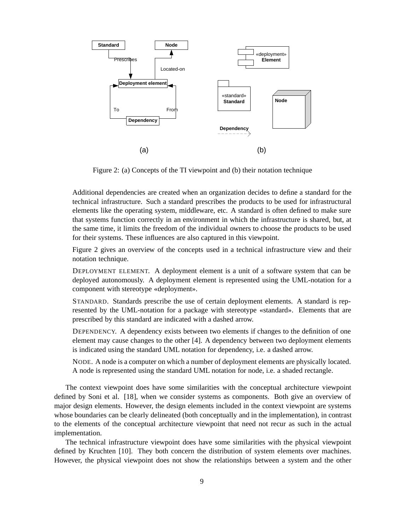

Figure 2: (a) Concepts of the TI viewpoint and (b) their notation technique

Additional dependencies are created when an organization decides to define a standard for the technical infrastructure. Such a standard prescribes the products to be used for infrastructural elements like the operating system, middleware, etc. A standard is often defined to make sure that systems function correctly in an environment in which the infrastructure is shared, but, at the same time, it limits the freedom of the individual owners to choose the products to be used for their systems. These influences are also captured in this viewpoint.

Figure 2 gives an overview of the concepts used in a technical infrastructure view and their notation technique.

DEPLOYMENT ELEMENT. A deployment element is a unit of a software system that can be deployed autonomously. A deployment element is represented using the UML-notation for a component with stereotype «deployment».

STANDARD. Standards prescribe the use of certain deployment elements. A standard is represented by the UML-notation for a package with stereotype «standard». Elements that are prescribed by this standard are indicated with a dashed arrow.

DEPENDENCY. A dependency exists between two elements if changes to the definition of one element may cause changes to the other [4]. A dependency between two deployment elements is indicated using the standard UML notation for dependency, i.e. a dashed arrow.

NODE. A node is a computer on which a number of deployment elements are physically located. A node is represented using the standard UML notation for node, i.e. a shaded rectangle.

The context viewpoint does have some similarities with the conceptual architecture viewpoint defined by Soni et al. [18], when we consider systems as components. Both give an overview of major design elements. However, the design elements included in the context viewpoint are systems whose boundaries can be clearly delineated (both conceptually and in the implementation), in contrast to the elements of the conceptual architecture viewpoint that need not recur as such in the actual implementation.

The technical infrastructure viewpoint does have some similarities with the physical viewpoint defined by Kruchten [10]. They both concern the distribution of system elements over machines. However, the physical viewpoint does not show the relationships between a system and the other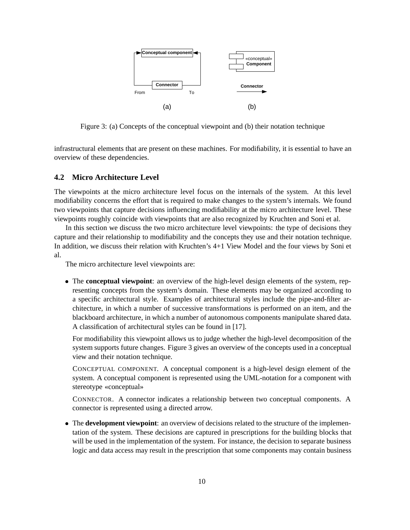

Figure 3: (a) Concepts of the conceptual viewpoint and (b) their notation technique

infrastructural elements that are present on these machines. For modifiability, it is essential to have an overview of these dependencies.

#### **4.2 Micro Architecture Level**

The viewpoints at the micro architecture level focus on the internals of the system. At this level modifiability concerns the effort that is required to make changes to the system's internals. We found two viewpoints that capture decisions influencing modifiability at the micro architecture level. These viewpoints roughly coincide with viewpoints that are also recognized by Kruchten and Soni et al.

In this section we discuss the two micro architecture level viewpoints: the type of decisions they capture and their relationship to modifiability and the concepts they use and their notation technique. In addition, we discuss their relation with Kruchten's 4+1 View Model and the four views by Soni et al.

The micro architecture level viewpoints are:

 The **conceptual viewpoint**: an overview of the high-level design elements of the system, representing concepts from the system's domain. These elements may be organized according to a specific architectural style. Examples of architectural styles include the pipe-and-filter architecture, in which a number of successive transformations is performed on an item, and the blackboard architecture, in which a number of autonomous components manipulate shared data. A classification of architectural styles can be found in [17].

For modifiability this viewpoint allows us to judge whether the high-level decomposition of the system supports future changes. Figure 3 gives an overview of the concepts used in a conceptual view and their notation technique.

CONCEPTUAL COMPONENT. A conceptual component is a high-level design element of the system. A conceptual component is represented using the UML-notation for a component with stereotype «conceptual»

CONNECTOR. A connector indicates a relationship between two conceptual components. A connector is represented using a directed arrow.

 The **development viewpoint**: an overview of decisions related to the structure of the implementation of the system. These decisions are captured in prescriptions for the building blocks that will be used in the implementation of the system. For instance, the decision to separate business logic and data access may result in the prescription that some components may contain business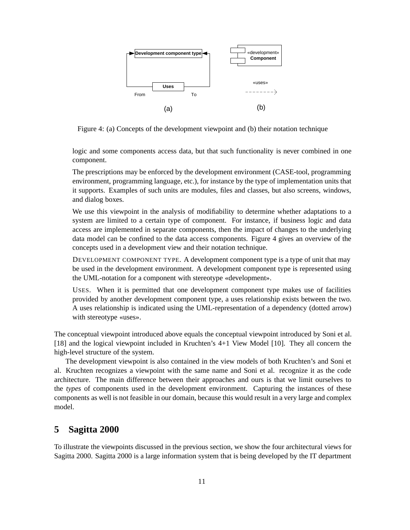

Figure 4: (a) Concepts of the development viewpoint and (b) their notation technique

logic and some components access data, but that such functionality is never combined in one component.

The prescriptions may be enforced by the development environment (CASE-tool, programming environment, programming language, etc.), for instance by the type of implementation units that it supports. Examples of such units are modules, files and classes, but also screens, windows, and dialog boxes.

We use this viewpoint in the analysis of modifiability to determine whether adaptations to a system are limited to a certain type of component. For instance, if business logic and data access are implemented in separate components, then the impact of changes to the underlying data model can be confined to the data access components. Figure 4 gives an overview of the concepts used in a development view and their notation technique.

DEVELOPMENT COMPONENT TYPE. A development component type is a type of unit that may be used in the development environment. A development component type is represented using the UML-notation for a component with stereotype «development».

USES. When it is permitted that one development component type makes use of facilities provided by another development component type, a uses relationship exists between the two. A uses relationship is indicated using the UML-representation of a dependency (dotted arrow) with stereotype «uses».

The conceptual viewpoint introduced above equals the conceptual viewpoint introduced by Soni et al. [18] and the logical viewpoint included in Kruchten's 4+1 View Model [10]. They all concern the high-level structure of the system.

The development viewpoint is also contained in the view models of both Kruchten's and Soni et al. Kruchten recognizes a viewpoint with the same name and Soni et al. recognize it as the code architecture. The main difference between their approaches and ours is that we limit ourselves to the *types* of components used in the development environment. Capturing the instances of these components as well is not feasible in our domain, because this would result in a very large and complex model.

# **5 Sagitta 2000**

To illustrate the viewpoints discussed in the previous section, we show the four architectural views for Sagitta 2000. Sagitta 2000 is a large information system that is being developed by the IT department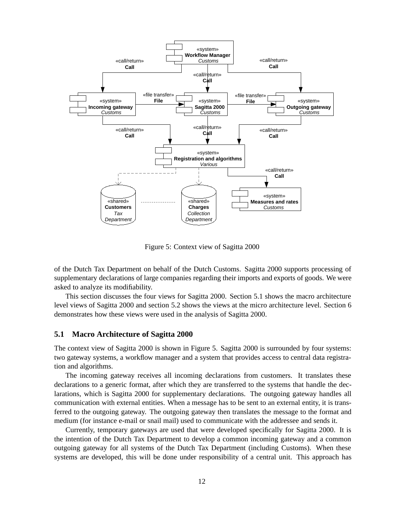

Figure 5: Context view of Sagitta 2000

of the Dutch Tax Department on behalf of the Dutch Customs. Sagitta 2000 supports processing of supplementary declarations of large companies regarding their imports and exports of goods. We were asked to analyze its modifiability.

This section discusses the four views for Sagitta 2000. Section 5.1 shows the macro architecture level views of Sagitta 2000 and section 5.2 shows the views at the micro architecture level. Section 6 demonstrates how these views were used in the analysis of Sagitta 2000.

#### **5.1 Macro Architecture of Sagitta 2000**

The context view of Sagitta 2000 is shown in Figure 5. Sagitta 2000 is surrounded by four systems: two gateway systems, a workflow manager and a system that provides access to central data registration and algorithms.

The incoming gateway receives all incoming declarations from customers. It translates these declarations to a generic format, after which they are transferred to the systems that handle the declarations, which is Sagitta 2000 for supplementary declarations. The outgoing gateway handles all communication with external entities. When a message has to be sent to an external entity, it is transferred to the outgoing gateway. The outgoing gateway then translates the message to the format and medium (for instance e-mail or snail mail) used to communicate with the addressee and sends it.

Currently, temporary gateways are used that were developed specifically for Sagitta 2000. It is the intention of the Dutch Tax Department to develop a common incoming gateway and a common outgoing gateway for all systems of the Dutch Tax Department (including Customs). When these systems are developed, this will be done under responsibility of a central unit. This approach has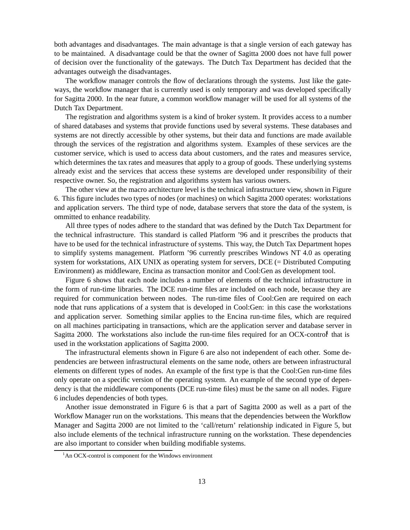both advantages and disadvantages. The main advantage is that a single version of each gateway has to be maintained. A disadvantage could be that the owner of Sagitta 2000 does not have full power of decision over the functionality of the gateways. The Dutch Tax Department has decided that the advantages outweigh the disadvantages.

The workflow manager controls the flow of declarations through the systems. Just like the gateways, the workflow manager that is currently used is only temporary and was developed specifically for Sagitta 2000. In the near future, a common workflow manager will be used for all systems of the Dutch Tax Department.

The registration and algorithms system is a kind of broker system. It provides access to a number of shared databases and systems that provide functions used by several systems. These databases and systems are not directly accessible by other systems, but their data and functions are made available through the services of the registration and algorithms system. Examples of these services are the customer service, which is used to access data about customers, and the rates and measures service, which determines the tax rates and measures that apply to a group of goods. These underlying systems already exist and the services that access these systems are developed under responsibility of their respective owner. So, the registration and algorithms system has various owners.

The other view at the macro architecture level is the technical infrastructure view, shown in Figure 6. This figure includes two types of nodes (or machines) on which Sagitta 2000 operates: workstations and application servers. The third type of node, database servers that store the data of the system, is ommitted to enhance readability.

All three types of nodes adhere to the standard that was defined by the Dutch Tax Department for the technical infrastructure. This standard is called Platform '96 and it prescribes the products that have to be used for the technical infrastructure of systems. This way, the Dutch Tax Department hopes to simplify systems management. Platform '96 currently prescribes Windows NT 4.0 as operating system for workstations, AIX UNIX as operating system for servers, DCE (= Distributed Computing Environment) as middleware, Encina as transaction monitor and Cool:Gen as development tool.

Figure 6 shows that each node includes a number of elements of the technical infrastructure in the form of run-time libraries. The DCE run-time files are included on each node, because they are required for communication between nodes. The run-time files of Cool:Gen are required on each node that runs applications of a system that is developed in Cool:Gen: in this case the workstations and application server. Something similar applies to the Encina run-time files, which are required on all machines participating in transactions, which are the application server and database server in Sagitta 2000. The workstations also include the run-time files required for an  $OCX$ -control that is used in the workstation applications of Sagitta 2000.

The infrastructural elements shown in Figure 6 are also not independent of each other. Some dependencies are between infrastructural elements on the same node, others are between infrastructural elements on different types of nodes. An example of the first type is that the Cool:Gen run-time files only operate on a specific version of the operating system. An example of the second type of dependency is that the middleware components (DCE run-time files) must be the same on all nodes. Figure 6 includes dependencies of both types.

Another issue demonstrated in Figure 6 is that a part of Sagitta 2000 as well as a part of the Workflow Manager run on the workstations. This means that the dependencies between the Workflow Manager and Sagitta 2000 are not limited to the 'call/return' relationship indicated in Figure 5, but also include elements of the technical infrastructure running on the workstation. These dependencies are also important to consider when building modifiable systems.

<sup>&</sup>lt;sup>1</sup>An OCX-control is component for the Windows environment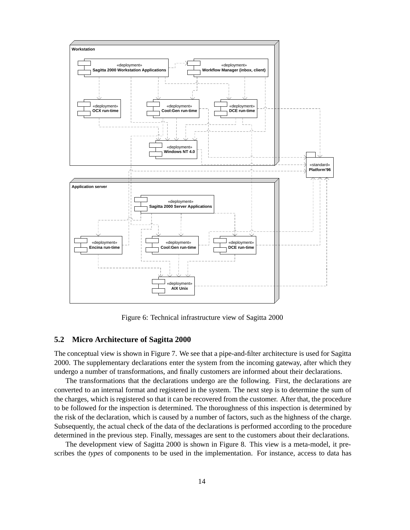

Figure 6: Technical infrastructure view of Sagitta 2000

#### **5.2 Micro Architecture of Sagitta 2000**

The conceptual view is shown in Figure 7. We see that a pipe-and-filter architecture is used for Sagitta 2000. The supplementary declarations enter the system from the incoming gateway, after which they undergo a number of transformations, and finally customers are informed about their declarations.

The transformations that the declarations undergo are the following. First, the declarations are converted to an internal format and registered in the system. The next step is to determine the sum of the charges, which is registered so that it can be recovered from the customer. After that, the procedure to be followed for the inspection is determined. The thoroughness of this inspection is determined by the risk of the declaration, which is caused by a number of factors, such as the highness of the charge. Subsequently, the actual check of the data of the declarations is performed according to the procedure determined in the previous step. Finally, messages are sent to the customers about their declarations.

The development view of Sagitta 2000 is shown in Figure 8. This view is a meta-model, it prescribes the *types* of components to be used in the implementation. For instance, access to data has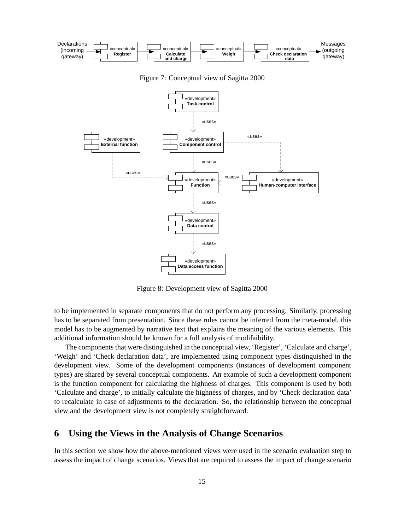

Figure 8: Development view of Sagitta 2000

to be implemented in separate components that do not perform any processing. Similarly, processing has to be separated from presentation. Since these rules cannot be inferred from the meta-model, this model has to be augmented by narrative text that explains the meaning of the various elements. This additional information should be known for a full analysis of modifaibility.

The components that were distinguished in the conceptual view, 'Register', 'Calculate and charge', 'Weigh' and 'Check declaration data', are implemented using component types distinguished in the development view. Some of the development components (instances of development component types) are shared by several conceptual components. An example of such a development component is the function component for calculating the highness of charges. This component is used by both 'Calculate and charge', to initially calculate the highness of charges, and by 'Check declaration data' to recalculate in case of adjustments to the declaration. So, the relationship between the conceptual view and the development view is not completely straightforward.

# **6 Using the Views in the Analysis of Change Scenarios**

In this section we show how the above-mentioned views were used in the scenario evaluation step to assess the impact of change scenarios. Views that are required to assess the impact of change scenario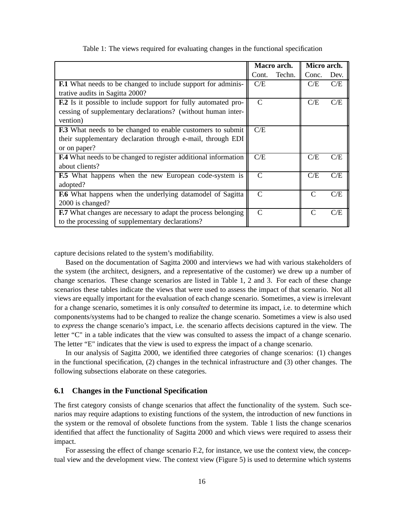|                                                                       |               | Macro arch. | Micro arch.  |      |
|-----------------------------------------------------------------------|---------------|-------------|--------------|------|
|                                                                       | Cont.         | Techn.      | Conc.        | Dev. |
| <b>F.1</b> What needs to be changed to include support for adminis-   | C/E           |             | C/E          | C/E  |
| trative audits in Sagitta 2000?                                       |               |             |              |      |
| <b>F.2</b> Is it possible to include support for fully automated pro- | $\mathcal{C}$ |             | C/E          | C/E  |
| cessing of supplementary declarations? (without human inter-          |               |             |              |      |
| vention)                                                              |               |             |              |      |
| <b>F.3</b> What needs to be changed to enable customers to submit     | C/E           |             |              |      |
| their supplementary declaration through e-mail, through EDI           |               |             |              |      |
| or on paper?                                                          |               |             |              |      |
| F.4 What needs to be changed to register additional information       | C/E           |             | C/E          | C/E  |
| about clients?                                                        |               |             |              |      |
| <b>F.5</b> What happens when the new European code-system is          | $\mathcal{C}$ |             | C/E          | C/E  |
| adopted?                                                              |               |             |              |      |
| <b>F.6</b> What happens when the underlying datamodel of Sagitta      | $\mathcal{C}$ |             | $\mathsf{C}$ | C/E  |
| 2000 is changed?                                                      |               |             |              |      |
| <b>F.7</b> What changes are necessary to adapt the process belonging  | $\mathcal{C}$ |             | C            | C/E  |
| to the processing of supplementary declarations?                      |               |             |              |      |

Table 1: The views required for evaluating changes in the functional specification

capture decisions related to the system's modifiability.

Based on the documentation of Sagitta 2000 and interviews we had with various stakeholders of the system (the architect, designers, and a representative of the customer) we drew up a number of change scenarios. These change scenarios are listed in Table 1, 2 and 3. For each of these change scenarios these tables indicate the views that were used to assess the impact of that scenario. Not all views are equally important for the evaluation of each change scenario. Sometimes, a view is irrelevant for a change scenario, sometimes it is only *consulted* to determine its impact, i.e. to determine which components/systems had to be changed to realize the change scenario. Sometimes a view is also used to *express* the change scenario's impact, i.e. the scenario affects decisions captured in the view. The letter "C" in a table indicates that the view was consulted to assess the impact of a change scenario. The letter "E" indicates that the view is used to express the impact of a change scenario.

In our analysis of Sagitta 2000, we identified three categories of change scenarios: (1) changes in the functional specification, (2) changes in the technical infrastructure and (3) other changes. The following subsections elaborate on these categories.

# **6.1 Changes in the Functional Specification**

The first category consists of change scenarios that affect the functionality of the system. Such scenarios may require adaptions to existing functions of the system, the introduction of new functions in the system or the removal of obsolete functions from the system. Table 1 lists the change scenarios identified that affect the functionality of Sagitta 2000 and which views were required to assess their impact.

For assessing the effect of change scenario F.2, for instance, we use the context view, the conceptual view and the development view. The context view (Figure 5) is used to determine which systems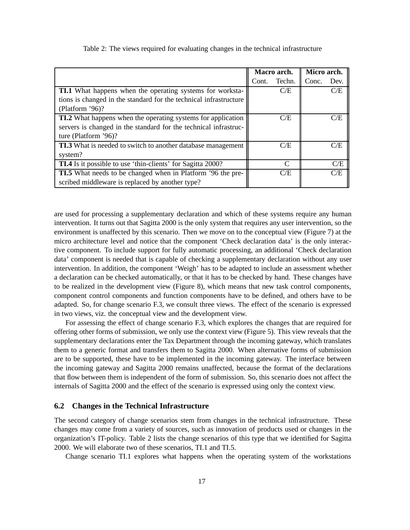|  |  |  |  | Table 2: The views required for evaluating changes in the technical infrastructure |
|--|--|--|--|------------------------------------------------------------------------------------|
|  |  |  |  |                                                                                    |

|                                                                     |       | Macro arch. | Micro arch. |      |
|---------------------------------------------------------------------|-------|-------------|-------------|------|
|                                                                     | Cont. | Techn.      | Conc.       | Dev. |
| <b>TI.1</b> What happens when the operating systems for worksta-    |       | C/E         |             | C/E  |
| tions is changed in the standard for the technical infrastructure   |       |             |             |      |
| (Platform '96)?                                                     |       |             |             |      |
| <b>TI.2</b> What happens when the operating systems for application |       | C/E         |             | C/E  |
| servers is changed in the standard for the technical infrastruc-    |       |             |             |      |
| ture (Platform '96)?                                                |       |             |             |      |
| <b>TI.3</b> What is needed to switch to another database management |       | C/E         |             | C/E  |
| system?                                                             |       |             |             |      |
| <b>TI.4</b> Is it possible to use 'thin-clients' for Sagitta 2000?  |       | $\subset$   |             | C/E  |
| TI.5 What needs to be changed when in Platform '96 the pre-         |       | C/E         |             | C/E  |
| scribed middleware is replaced by another type?                     |       |             |             |      |

are used for processing a supplementary declaration and which of these systems require any human intervention. It turns out that Sagitta 2000 is the only system that requires any user intervention, so the environment is unaffected by this scenario. Then we move on to the conceptual view (Figure 7) at the micro architecture level and notice that the component 'Check declaration data' is the only interactive component. To include support for fully automatic processing, an additional 'Check declaration data' component is needed that is capable of checking a supplementary declaration without any user intervention. In addition, the component 'Weigh' has to be adapted to include an assessment whether a declaration can be checked automatically, or that it has to be checked by hand. These changes have to be realized in the development view (Figure 8), which means that new task control components, component control components and function components have to be defined, and others have to be adapted. So, for change scenario F.3, we consult three views. The effect of the scenario is expressed in two views, viz. the conceptual view and the development view.

For assessing the effect of change scenario F.3, which explores the changes that are required for offering other forms of submission, we only use the context view (Figure 5). This view reveals that the supplementary declarations enter the Tax Department through the incoming gateway, which translates them to a generic format and transfers them to Sagitta 2000. When alternative forms of submission are to be supported, these have to be implemented in the incoming gateway. The interface between the incoming gateway and Sagitta 2000 remains unaffected, because the format of the declarations that flow between them is independent of the form of submission. So, this scenario does not affect the internals of Sagitta 2000 and the effect of the scenario is expressed using only the context view.

#### **6.2 Changes in the Technical Infrastructure**

The second category of change scenarios stem from changes in the technical infrastructure. These changes may come from a variety of sources, such as innovation of products used or changes in the organization's IT-policy. Table 2 lists the change scenarios of this type that we identified for Sagitta 2000. We will elaborate two of these scenarios, TI.1 and TI.5.

Change scenario TI.1 explores what happens when the operating system of the workstations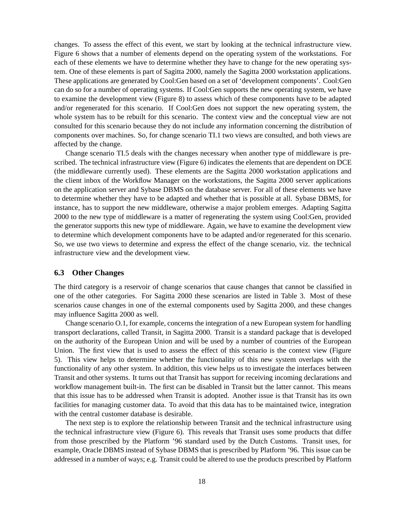changes. To assess the effect of this event, we start by looking at the technical infrastructure view. Figure 6 shows that a number of elements depend on the operating system of the workstations. For each of these elements we have to determine whether they have to change for the new operating system. One of these elements is part of Sagitta 2000, namely the Sagitta 2000 workstation applications. These applications are generated by Cool:Gen based on a set of 'development components'. Cool:Gen can do so for a number of operating systems. If Cool:Gen supports the new operating system, we have to examine the development view (Figure 8) to assess which of these components have to be adapted and/or regenerated for this scenario. If Cool:Gen does not support the new operating system, the whole system has to be rebuilt for this scenario. The context view and the conceptual view are not consulted for this scenario because they do not include any information concerning the distribution of components over machines. So, for change scenario TI.1 two views are consulted, and both views are affected by the change.

Change scenario TI.5 deals with the changes necessary when another type of middleware is prescribed. The technical infrastructure view (Figure 6) indicates the elements that are dependent on DCE (the middleware currently used). These elements are the Sagitta 2000 workstation applications and the client inbox of the Workflow Manager on the workstations, the Sagitta 2000 server applications on the application server and Sybase DBMS on the database server. For all of these elements we have to determine whether they have to be adapted and whether that is possible at all. Sybase DBMS, for instance, has to support the new middleware, otherwise a major problem emerges. Adapting Sagitta 2000 to the new type of middleware is a matter of regenerating the system using Cool:Gen, provided the generator supports this new type of middleware. Again, we have to examine the development view to determine which development components have to be adapted and/or regenerated for this scenario. So, we use two views to determine and express the effect of the change scenario, viz. the technical infrastructure view and the development view.

### **6.3 Other Changes**

The third category is a reservoir of change scenarios that cause changes that cannot be classified in one of the other categories. For Sagitta 2000 these scenarios are listed in Table 3. Most of these scenarios cause changes in one of the external components used by Sagitta 2000, and these changes may influence Sagitta 2000 as well.

Change scenario O.1, for example, concerns the integration of a new European system for handling transport declarations, called Transit, in Sagitta 2000. Transit is a standard package that is developed on the authority of the European Union and will be used by a number of countries of the European Union. The first view that is used to assess the effect of this scenario is the context view (Figure 5). This view helps to determine whether the functionality of this new system overlaps with the functionality of any other system. In addition, this view helps us to investigate the interfaces between Transit and other systems. It turns out that Transit has support for receiving incoming declarations and workflow management built-in. The first can be disabled in Transit but the latter cannot. This means that this issue has to be addressed when Transit is adopted. Another issue is that Transit has its own facilities for managing customer data. To avoid that this data has to be maintained twice, integration with the central customer database is desirable.

The next step is to explore the relationship between Transit and the technical infrastructure using the technical infrastructure view (Figure 6). This reveals that Transit uses some products that differ from those prescribed by the Platform '96 standard used by the Dutch Customs. Transit uses, for example, Oracle DBMS instead of Sybase DBMS that is prescribed by Platform '96. This issue can be addressed in a number of ways; e.g. Transit could be altered to use the products prescribed by Platform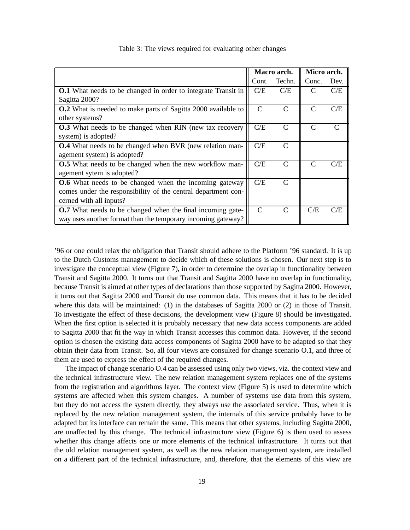|                                                                      |               | Macro arch. | Micro arch.   |      |
|----------------------------------------------------------------------|---------------|-------------|---------------|------|
|                                                                      | Cont.         | Techn.      | Conc.         | Dev. |
| <b>O.1</b> What needs to be changed in order to integrate Transit in | C/E           | C/E         | C             | C/E  |
| Sagitta 2000?                                                        |               |             |               |      |
| <b>O.2</b> What is needed to make parts of Sagitta 2000 available to | $\mathcal{C}$ |             | $\mathsf{C}$  | C/E  |
| other systems?                                                       |               |             |               |      |
| <b>0.3</b> What needs to be changed when RIN (new tax recovery       | C/E           | $\subset$   | $\mathcal{C}$ |      |
| system) is adopted?                                                  |               |             |               |      |
| <b>O.4</b> What needs to be changed when BVR (new relation man-      | C/E           |             |               |      |
| agement system) is adopted?                                          |               |             |               |      |
| <b>O.5</b> What needs to be changed when the new workflow man-       | C/E           | C           | C             | C/E  |
| agement sytem is adopted?                                            |               |             |               |      |
| <b>O.6</b> What needs to be changed when the incoming gateway        | C/E           |             |               |      |
| comes under the responsibility of the central department con-        |               |             |               |      |
| cerned with all inputs?                                              |               |             |               |      |
| <b>O.7</b> What needs to be changed when the final incoming gate-    | $\mathcal{C}$ |             | C/E           | C/E  |
| way uses another format than the temporary incoming gateway?         |               |             |               |      |

Table 3: The views required for evaluating other changes

'96 or one could relax the obligation that Transit should adhere to the Platform '96 standard. It is up to the Dutch Customs management to decide which of these solutions is chosen. Our next step is to investigate the conceptual view (Figure 7), in order to determine the overlap in functionality between Transit and Sagitta 2000. It turns out that Transit and Sagitta 2000 have no overlap in functionality, because Transit is aimed at other types of declarations than those supported by Sagitta 2000. However, it turns out that Sagitta 2000 and Transit do use common data. This means that it has to be decided where this data will be maintained: (1) in the databases of Sagitta 2000 or (2) in those of Transit. To investigate the effect of these decisions, the development view (Figure 8) should be investigated. When the first option is selected it is probably necessary that new data access components are added to Sagitta 2000 that fit the way in which Transit accesses this common data. However, if the second option is chosen the existing data access components of Sagitta 2000 have to be adapted so that they obtain their data from Transit. So, all four views are consulted for change scenario O.1, and three of them are used to express the effect of the required changes.

The impact of change scenario O.4 can be assessed using only two views, viz. the context view and the technical infrastructure view. The new relation management system replaces one of the systems from the registration and algorithms layer. The context view (Figure 5) is used to determine which systems are affected when this system changes. A number of systems use data from this system, but they do not access the system directly, they always use the associated service. Thus, when it is replaced by the new relation management system, the internals of this service probably have to be adapted but its interface can remain the same. This means that other systems, including Sagitta 2000, are unaffected by this change. The technical infrastructure view (Figure 6) is then used to assess whether this change affects one or more elements of the technical infrastructure. It turns out that the old relation management system, as well as the new relation management system, are installed on a different part of the technical infrastructure, and, therefore, that the elements of this view are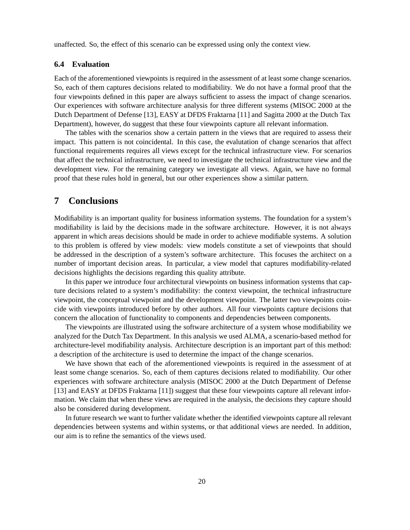unaffected. So, the effect of this scenario can be expressed using only the context view.

### **6.4 Evaluation**

Each of the aforementioned viewpoints is required in the assessment of at least some change scenarios. So, each of them captures decisions related to modifiability. We do not have a formal proof that the four viewpoints defined in this paper are always sufficient to assess the impact of change scenarios. Our experiences with software architecture analysis for three different systems (MISOC 2000 at the Dutch Department of Defense [13], EASY at DFDS Fraktarna [11] and Sagitta 2000 at the Dutch Tax Department), however, do suggest that these four viewpoints capture all relevant information.

The tables with the scenarios show a certain pattern in the views that are required to assess their impact. This pattern is not coincidental. In this case, the evalutation of change scenarios that affect functional requirements requires all views except for the technical infrastructure view. For scenarios that affect the technical infrastructure, we need to investigate the technical infrastructure view and the development view. For the remaining category we investigate all views. Again, we have no formal proof that these rules hold in general, but our other experiences show a similar pattern.

# **7 Conclusions**

Modifiability is an important quality for business information systems. The foundation for a system's modifiability is laid by the decisions made in the software architecture. However, it is not always apparent in which areas decisions should be made in order to achieve modifiable systems. A solution to this problem is offered by view models: view models constitute a set of viewpoints that should be addressed in the description of a system's software architecture. This focuses the architect on a number of important decision areas. In particular, a view model that captures modifiability-related decisions highlights the decisions regarding this quality attribute.

In this paper we introduce four architectural viewpoints on business information systems that capture decisions related to a system's modifiability: the context viewpoint, the technical infrastructure viewpoint, the conceptual viewpoint and the development viewpoint. The latter two viewpoints coincide with viewpoints introduced before by other authors. All four viewpoints capture decisions that concern the allocation of functionality to components and dependencies between components.

The viewpoints are illustrated using the software architecture of a system whose modifiability we analyzed for the Dutch Tax Department. In this analysis we used ALMA, a scenario-based method for architecture-level modifiability analysis. Architecture description is an important part of this method: a description of the architecture is used to determine the impact of the change scenarios.

We have shown that each of the aforementioned viewpoints is required in the assessment of at least some change scenarios. So, each of them captures decisions related to modifiability. Our other experiences with software architecture analysis (MISOC 2000 at the Dutch Department of Defense [13] and EASY at DFDS Fraktarna [11]) suggest that these four viewpoints capture all relevant information. We claim that when these views are required in the analysis, the decisions they capture should also be considered during development.

In future research we want to further validate whether the identified viewpoints capture all relevant dependencies between systems and within systems, or that additional views are needed. In addition, our aim is to refine the semantics of the views used.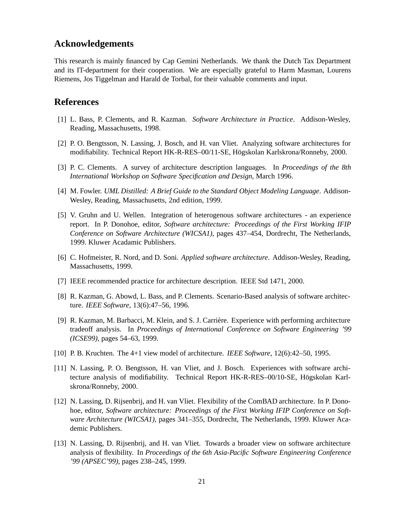# **Acknowledgements**

This research is mainly financed by Cap Gemini Netherlands. We thank the Dutch Tax Department and its IT-department for their cooperation. We are especially grateful to Harm Masman, Lourens Riemens, Jos Tiggelman and Harald de Torbal, for their valuable comments and input.

## **References**

- [1] L. Bass, P. Clements, and R. Kazman. *Software Architecture in Practice*. Addison-Wesley, Reading, Massachusetts, 1998.
- [2] P. O. Bengtsson, N. Lassing, J. Bosch, and H. van Vliet. Analyzing software architectures for modifiability. Technical Report HK-R-RES–00/11-SE, Högskolan Karlskrona/Ronneby, 2000.
- [3] P. C. Clements. A survey of architecture description languages. In *Proceedings of the 8th International Workshop on Software Specification and Design*, March 1996.
- [4] M. Fowler. *UML Distilled: A Brief Guide to the Standard Object Modeling Language*. Addison-Wesley, Reading, Massachusetts, 2nd edition, 1999.
- [5] V. Gruhn and U. Wellen. Integration of heterogenous software architectures an experience report. In P. Donohoe, editor, *Software architecture: Proceedings of the First Working IFIP Conference on Software Architecture (WICSA1)*, pages 437–454, Dordrecht, The Netherlands, 1999. Kluwer Acadamic Publishers.
- [6] C. Hofmeister, R. Nord, and D. Soni. *Applied software architecture*. Addison-Wesley, Reading, Massachusetts, 1999.
- [7] IEEE recommended practice for architecture description. IEEE Std 1471, 2000.
- [8] R. Kazman, G. Abowd, L. Bass, and P. Clements. Scenario-Based analysis of software architecture. *IEEE Software*, 13(6):47–56, 1996.
- [9] R. Kazman, M. Barbacci, M. Klein, and S. J. Carrière. Experience with performing architecture tradeoff analysis. In *Proceedings of International Conference on Software Engineering '99 (ICSE99)*, pages 54–63, 1999.
- [10] P. B. Kruchten. The 4+1 view model of architecture. *IEEE Software*, 12(6):42–50, 1995.
- [11] N. Lassing, P. O. Bengtsson, H. van Vliet, and J. Bosch. Experiences with software architecture analysis of modifiability. Technical Report HK-R-RES–00/10-SE, Högskolan Karlskrona/Ronneby, 2000.
- [12] N. Lassing, D. Rijsenbrij, and H. van Vliet. Flexibility of the ComBAD architecture. In P. Donohoe, editor, *Software architecture: Proceedings of the First Working IFIP Conference on Software Architecture (WICSA1)*, pages 341–355, Dordrecht, The Netherlands, 1999. Kluwer Academic Publishers.
- [13] N. Lassing, D. Rijsenbrij, and H. van Vliet. Towards a broader view on software architecture analysis of flexibility. In *Proceedings of the 6th Asia-Pacific Software Engineering Conference '99 (APSEC'99)*, pages 238–245, 1999.